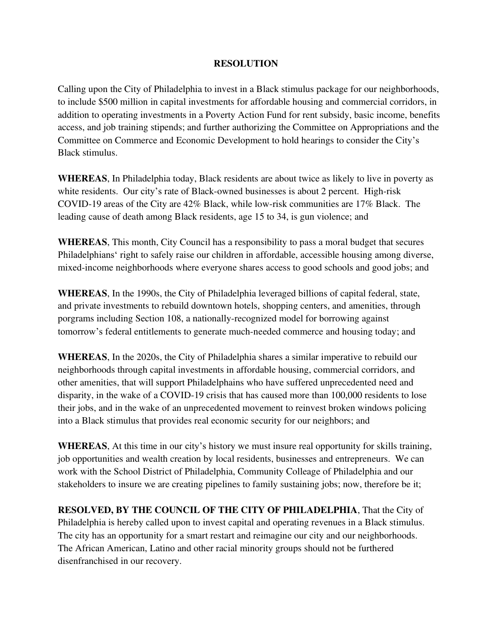## **RESOLUTION**

Calling upon the City of Philadelphia to invest in a Black stimulus package for our neighborhoods, to include \$500 million in capital investments for affordable housing and commercial corridors, in addition to operating investments in a Poverty Action Fund for rent subsidy, basic income, benefits access, and job training stipends; and further authorizing the Committee on Appropriations and the Committee on Commerce and Economic Development to hold hearings to consider the City's Black stimulus.

**WHEREAS**, In Philadelphia today, Black residents are about twice as likely to live in poverty as white residents. Our city's rate of Black-owned businesses is about 2 percent. High-risk COVID-19 areas of the City are 42% Black, while low-risk communities are 17% Black. The leading cause of death among Black residents, age 15 to 34, is gun violence; and

**WHEREAS**, This month, City Council has a responsibility to pass a moral budget that secures Philadelphians' right to safely raise our children in affordable, accessible housing among diverse, mixed-income neighborhoods where everyone shares access to good schools and good jobs; and

**WHEREAS**, In the 1990s, the City of Philadelphia leveraged billions of capital federal, state, and private investments to rebuild downtown hotels, shopping centers, and amenities, through porgrams including Section 108, a nationally-recognized model for borrowing against tomorrow's federal entitlements to generate much-needed commerce and housing today; and

**WHEREAS**, In the 2020s, the City of Philadelphia shares a similar imperative to rebuild our neighborhoods through capital investments in affordable housing, commercial corridors, and other amenities, that will support Philadelphains who have suffered unprecedented need and disparity, in the wake of a COVID-19 crisis that has caused more than 100,000 residents to lose their jobs, and in the wake of an unprecedented movement to reinvest broken windows policing into a Black stimulus that provides real economic security for our neighbors; and

**WHEREAS**, At this time in our city's history we must insure real opportunity for skills training, job opportunities and wealth creation by local residents, businesses and entrepreneurs. We can work with the School District of Philadelphia, Community Colleage of Philadelphia and our stakeholders to insure we are creating pipelines to family sustaining jobs; now, therefore be it;

**RESOLVED, BY THE COUNCIL OF THE CITY OF PHILADELPHIA**, That the City of Philadelphia is hereby called upon to invest capital and operating revenues in a Black stimulus. The city has an opportunity for a smart restart and reimagine our city and our neighborhoods. The African American, Latino and other racial minority groups should not be furthered disenfranchised in our recovery.